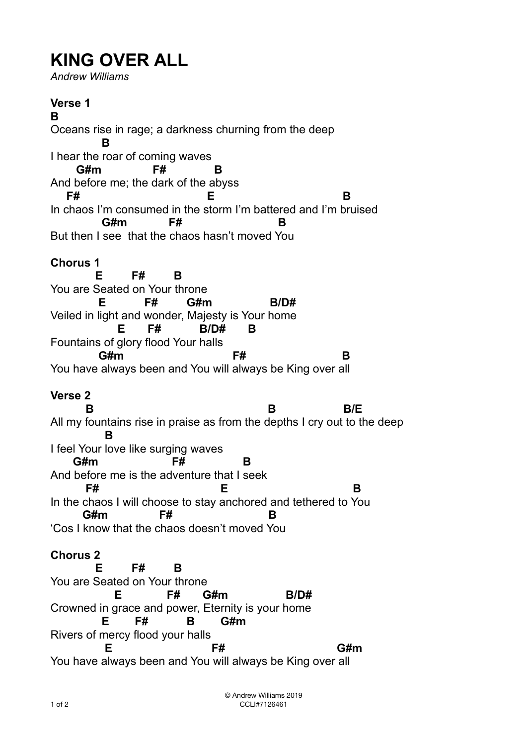## **KING OVER ALL**

*Andrew Williams* 

**Verse 1 B** Oceans rise in rage; a darkness churning from the deep  **B**  I hear the roar of coming waves **G#m F# B** And before me; the dark of the abyss **F# E B** In chaos I'm consumed in the storm I'm battered and I'm bruised  **G#m F# B** But then I see that the chaos hasn't moved You **Chorus 1 E F# B** You are Seated on Your throne **E F# G#m B/D#** Veiled in light and wonder, Majesty is Your home  **E F# B/D# B** Fountains of glory flood Your halls **G#m F# B** You have always been and You will always be King over all **Verse 2 B** B/E All my fountains rise in praise as from the depths I cry out to the deep  **B**  I feel Your love like surging waves  **G#m F# B** And before me is the adventure that I seek **F#** B In the chaos I will choose to stay anchored and tethered to You  **G#m F# B**  'Cos I know that the chaos doesn't moved You **Chorus 2 E F# B** You are Seated on Your throne  **E F# G#m B/D#** Crowned in grace and power, Eternity is your home  **E F# B G#m**  Rivers of mercy flood your halls **E** F# G#m You have always been and You will always be King over all